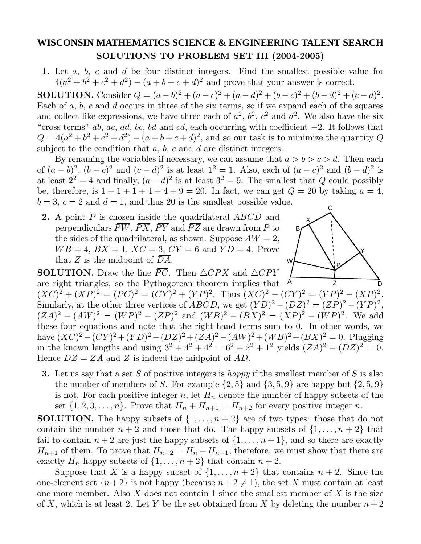## **WISCONSIN MATHEMATICS SCIENCE & ENGINEERING TALENT SEARCH SOLUTIONS TO PROBLEM SET III (2004-2005)**

**1.** Let *a*, *b*, *c* and *d* be four distinct integers. Find the smallest possible value for  $4(a^{2} + b^{2} + c^{2} + d^{2}) - (a + b + c + d)^{2}$  and prove that your answer is correct.

**SOLUTION.** Consider  $Q = (a - b)^2 + (a - c)^2 + (a - d)^2 + (b - c)^2 + (b - d)^2 + (c - d)^2$ . Each of *a*, *b*, *c* and *d* occurs in three of the six terms, so if we expand each of the squares and collect like expressions, we have three each of  $a^2$ ,  $b^2$ ,  $c^2$  and  $d^2$ . We also have the six "cross terms" *ab*, *ac*, *ad*, *bc*, *bd* and *cd*, each occurring with coefficient  $-2$ . It follows that  $Q = 4(a^2 + b^2 + c^2 + d^2) - (a + b + c + d)^2$ , and so our task is to minimize the quantity *Q* subject to the condition that *a*, *b*, *c* and *d* are distinct integers.

C By renaming the variables if necessary, we can assume that  $a > b > c > d$ . Then each of  $(a - b)^2$ ,  $(b - c)^2$  and  $(c - d)^2$  is at least  $1^2 = 1$ . Also, each of  $(a - c)^2$  and  $(b - d)^2$  is at least  $2^2 = 4$  and finally,  $(a - d)^2$  is at least  $3^2 = 9$ . The smallest that *Q* could possibly be, therefore, is  $1 + 1 + 1 + 4 + 4 + 9 = 20$ . In fact, we can get  $Q = 20$  by taking  $a = 4$ ,  $b = 3, c = 2$  and  $d = 1$ , and thus 20 is the smallest possible value.

**2.** A point *P* is chosen inside the quadrilateral *ABCD* and perpendiculars  $\overline{PW}, \overline{PX}, \overline{PY}$  and  $\overline{PZ}$  are drawn from P to the sides of the quadrilateral, as shown. Suppose  $AW = 2$ ,  $WB = 4$ ,  $BX = 1$ ,  $XC = 3$ ,  $CY = 6$  and  $YD = 4$ . Prove that *Z* is the midpoint of *DA*.

A B D W X Y Z P **SOLUTION.** Draw the line  $\overline{PC}$ . Then  $\triangle CPX$  and  $\triangle CPY$ are right triangles, so the Pythagorean theorem implies that  $(XC)^{2} + (XP)^{2} = (PC)^{2} = (CY)^{2} + (YP)^{2}$ . Thus  $(XC)^{2} - (CY)^{2} = (YP)^{2} - (XP)^{2}$ .

Similarly, at the other three vertices of *ABCD*, we get  $(YD)^2 - (DZ)^2 = (ZP)^2 - (YP)^2$ ,  $(ZA)^2 - (AW)^2 = (WP)^2 - (ZP)^2$  and  $(WB)^2 - (BX)^2 = (XP)^2 - (WP)^2$ . We add these four equations and note that the right-hand terms sum to 0. In other words, we have  $(XC)^2 - (CY)^2 + (YD)^2 - (DZ)^2 + (ZA)^2 - (AW)^2 + (WB)^2 - (BX)^2 = 0$ . Plugging in the known lengths and using  $3^2 + 4^2 + 4^2 = 6^2 + 2^2 + 1^2$  yields  $(ZA)^2 - (DZ)^2 = 0$ . Hence  $DZ = ZA$  and *Z* is indeed the midpoint of  $\overline{AD}$ .

**3.** Let us say that a set *S* of positive integers is happy if the smallest member of *S* is also the number of members of *S*. For example  $\{2,5\}$  and  $\{3,5,9\}$  are happy but  $\{2,5,9\}$ is not. For each positive integer  $n$ , let  $H_n$  denote the number of happy subsets of the set  $\{1, 2, 3, \ldots, n\}$ . Prove that  $H_n + H_{n+1} = H_{n+2}$  for every positive integer *n*.

**SOLUTION.** The happy subsets of  $\{1,\ldots,n+2\}$  are of two types: those that do not contain the number  $n + 2$  and those that do. The happy subsets of  $\{1, \ldots, n + 2\}$  that fail to contain  $n + 2$  are just the happy subsets of  $\{1, \ldots, n + 1\}$ , and so there are exactly  $H_{n+1}$  of them. To prove that  $H_{n+2} = H_n + H_{n+1}$ , therefore, we must show that there are exactly  $H_n$  happy subsets of  $\{1, \ldots, n+2\}$  that contain  $n+2$ .

Suppose that *X* is a happy subset of  $\{1, \ldots, n+2\}$  that contains  $n+2$ . Since the one-element set  $\{n+2\}$  is not happy (because  $n+2 \neq 1$ ), the set *X* must contain at least one more member. Also *X* does not contain 1 since the smallest member of *X* is the size of X, which is at least 2. Let Y be the set obtained from X by deleting the number  $n+2$